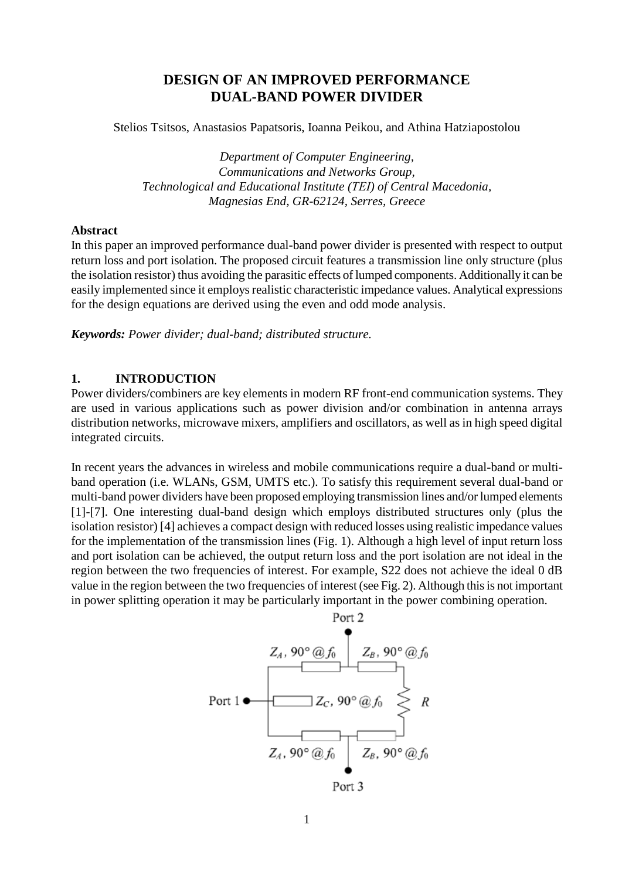# **DESIGN OF AN IMPROVED PERFORMANCE DUAL-BAND POWER DIVIDER**

Stelios Tsitsos, Anastasios Papatsoris, Ioanna Peikou, and Athina Hatziapostolou

*Department of Computer Engineering, Communications and Networks Group, Technological and Educational Institute (ΤΕΙ) of Central Macedonia, Magnesias End, GR-62124, Serres, Greece*

## **Abstract**

In this paper an improved performance dual-band power divider is presented with respect to output return loss and port isolation. The proposed circuit features a transmission line only structure (plus the isolation resistor) thus avoiding the parasitic effects of lumped components. Additionally it can be easily implemented since it employs realistic characteristic impedance values. Analytical expressions for the design equations are derived using the even and odd mode analysis.

*Keywords: Power divider; dual-band; distributed structure.*

## **1. INTRODUCTION**

Power dividers/combiners are key elements in modern RF front-end communication systems. They are used in various applications such as power division and/or combination in antenna arrays distribution networks, microwave mixers, amplifiers and oscillators, as well as in high speed digital integrated circuits.

In recent years the advances in wireless and mobile communications require a dual-band or multiband operation (i.e. WLANs, GSM, UMTS etc.). To satisfy this requirement several dual-band or multi-band power dividers have been proposed employing transmission lines and/or lumped elements [1]-[7]. One interesting dual-band design which employs distributed structures only (plus the isolation resistor) [4] achieves a compact design with reduced losses using realistic impedance values for the implementation of the transmission lines (Fig. 1). Although a high level of input return loss and port isolation can be achieved, the output return loss and the port isolation are not ideal in the region between the two frequencies of interest. For example, S22 does not achieve the ideal 0 dB value in the region between the two frequencies of interest (see Fig. 2). Although this is not important in power splitting operation it may be particularly important in the power combining operation.

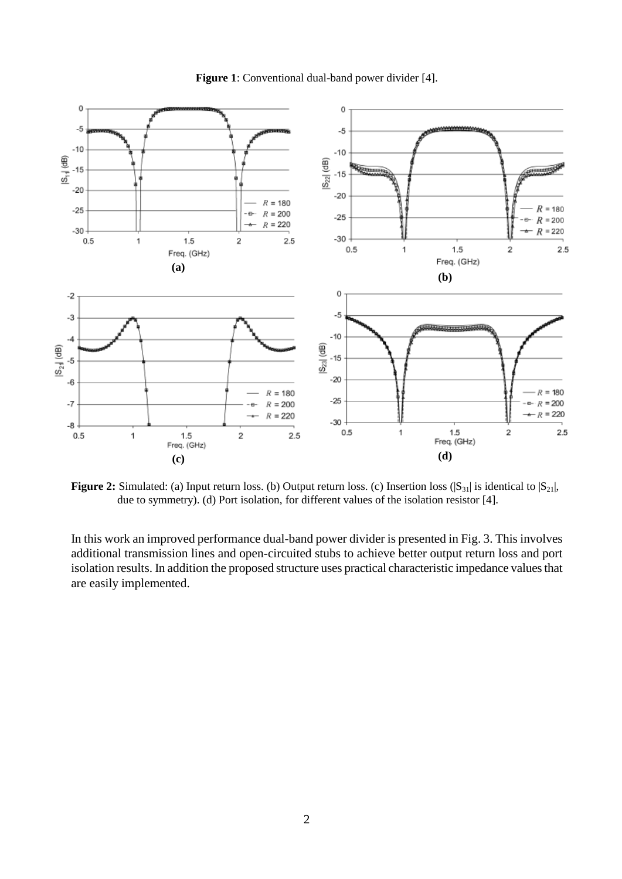

**Figure 1**: Conventional dual-band power divider [4].

**Figure 2:** Simulated: (a) Input return loss. (b) Output return loss. (c) Insertion loss  $(|S_{31}|)$  is identical to  $|S_{21}|$ , due to symmetry). (d) Port isolation, for different values of the isolation resistor [4].

In this work an improved performance dual-band power divider is presented in Fig. 3. This involves additional transmission lines and open-circuited stubs to achieve better output return loss and port isolation results. In addition the proposed structure uses practical characteristic impedance values that are easily implemented.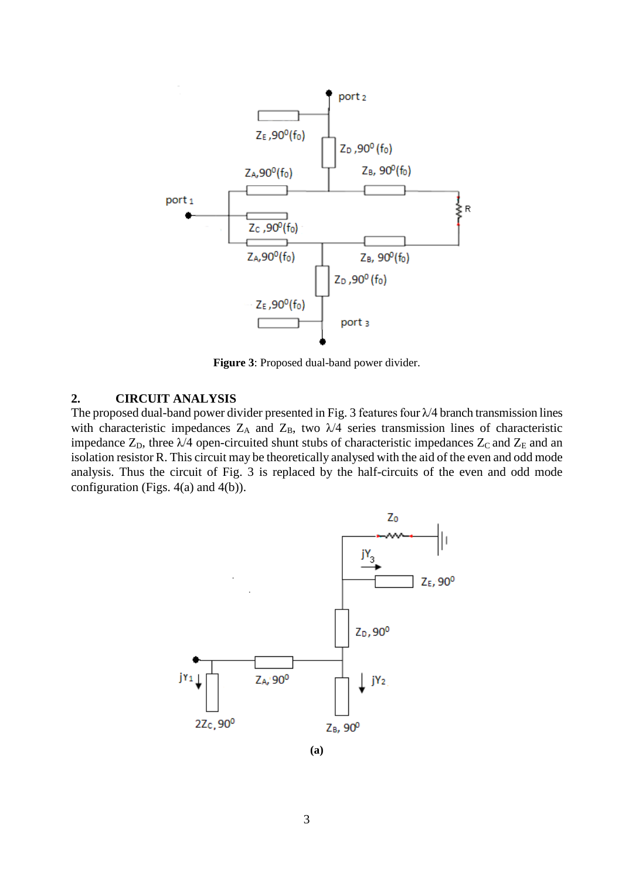

**Figure 3**: Proposed dual-band power divider.

## **2. CIRCUIT ANALYSIS**

The proposed dual-band power divider presented in Fig. 3 features four  $\lambda$ /4 branch transmission lines with characteristic impedances  $Z_A$  and  $Z_B$ , two  $\lambda/4$  series transmission lines of characteristic impedance  $Z_D$ , three  $\lambda/4$  open-circuited shunt stubs of characteristic impedances  $Z_C$  and  $Z_E$  and an isolation resistor R. This circuit may be theoretically analysed with the aid of the even and odd mode analysis. Thus the circuit of Fig. 3 is replaced by the half-circuits of the even and odd mode configuration (Figs. 4(a) and 4(b)).

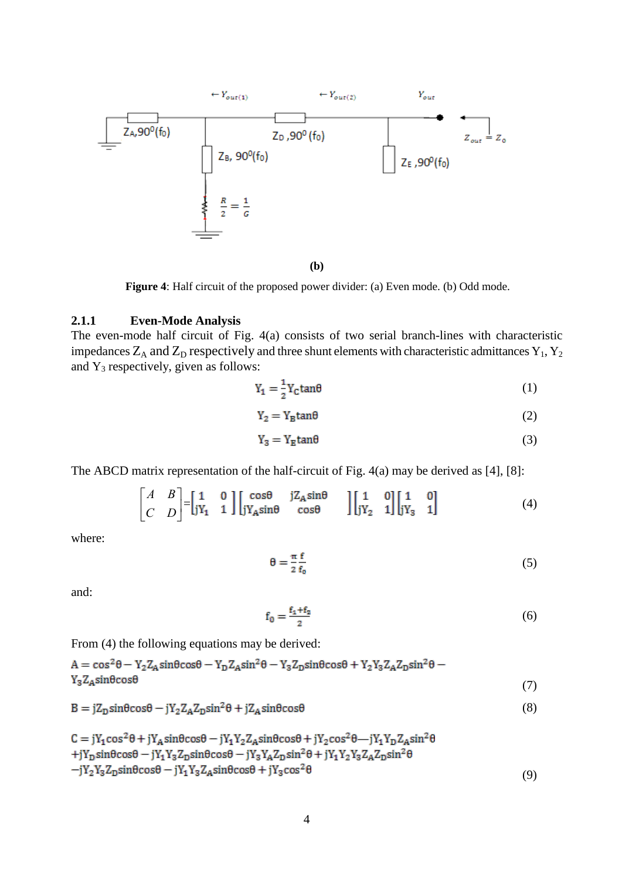

**Figure 4**: Half circuit of the proposed power divider: (a) Even mode. (b) Odd mode.

### **2.1.1 Even-Mode Analysis**

The even-mode half circuit of Fig. 4(a) consists of two serial branch-lines with characteristic impedances  $Z_A$  and  $Z_D$  respectively and three shunt elements with characteristic admittances  $Y_1, Y_2$ and  $Y_3$  respectively, given as follows:

$$
Y_1 = \frac{1}{2} Y_C \tan \theta \tag{1}
$$

$$
Y_2 = Y_B \tan \theta \tag{2}
$$

$$
Y_3 = Y_E \tan \theta \tag{3}
$$

The ABCD matrix representation of the half-circuit of Fig. 4(a) may be derived as [4], [8]:

$$
\begin{bmatrix} A & B \\ C & D \end{bmatrix} = \begin{bmatrix} 1 & 0 \\ jY_1 & 1 \end{bmatrix} \begin{bmatrix} \cos\theta & jZ_A \sin\theta \\ jY_A \sin\theta & \cos\theta \end{bmatrix} \begin{bmatrix} 1 & 0 \\ jY_2 & 1 \end{bmatrix} \begin{bmatrix} 1 & 0 \\ jY_3 & 1 \end{bmatrix}
$$
(4)

where:

$$
\theta = \frac{\pi}{2} \frac{f}{f_0} \tag{5}
$$

and:

$$
f_0 = \frac{f_1 + f_2}{2} \tag{6}
$$

From (4) the following equations may be derived:

| $A = cos^2 \theta - Y_2 Z_4 sin \theta cos \theta - Y_D Z_A sin^2 \theta - Y_3 Z_D sin \theta cos \theta + Y_2 Y_3 Z_A Z_D sin^2 \theta -$ |  |
|--------------------------------------------------------------------------------------------------------------------------------------------|--|
| $Y_3 Z_A sin\theta cos\theta$                                                                                                              |  |

$$
B = jZ_{D}\sin\theta\cos\theta - jY_{2}Z_{A}Z_{D}\sin^{2}\theta + jZ_{A}\sin\theta\cos\theta
$$
\n(8)

$$
C = jY_1 \cos^2 \theta + jY_A \sin \theta \cos \theta - jY_1 Y_2 Z_A \sin \theta \cos \theta + jY_2 \cos^2 \theta - jY_1 Y_D Z_A \sin^2 \theta
$$
  
+ $jY_D \sin \theta \cos \theta - jY_1 Y_3 Z_D \sin \theta \cos \theta - jY_3 Y_A Z_D \sin^2 \theta + jY_1 Y_2 Y_3 Z_A Z_D \sin^2 \theta$   
- $jY_2 Y_3 Z_D \sin \theta \cos \theta - jY_1 Y_3 Z_A \sin \theta \cos \theta + jY_3 \cos^2 \theta$  (9)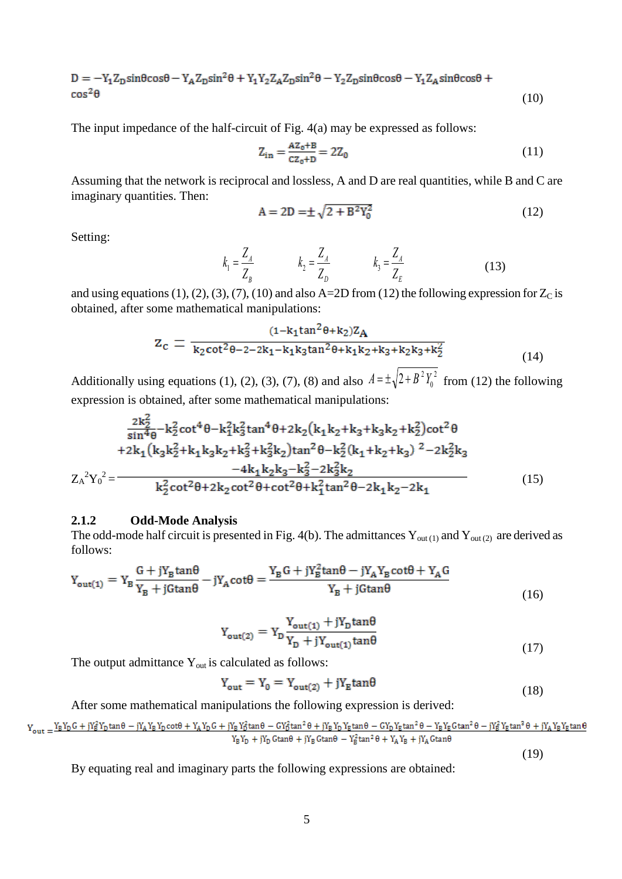$$
D = -Y_1 Z_D \sin\theta \cos\theta - Y_A Z_D \sin^2\theta + Y_1 Y_2 Z_A Z_D \sin^2\theta - Y_2 Z_D \sin\theta \cos\theta - Y_1 Z_A \sin\theta \cos\theta + \cos^2\theta \tag{10}
$$

The input impedance of the half-circuit of Fig. 4(a) may be expressed as follows:

$$
Z_{in} = \frac{AZ_0 + B}{cz_0 + D} = 2Z_0
$$
 (11)

Assuming that the network is reciprocal and lossless, A and D are real quantities, while B and C are imaginary quantities. Then:

$$
A = 2D = \pm \sqrt{2 + B^2 Y_0^2}
$$
 (12)

Setting:

$$
k_1 = \frac{Z_A}{Z_B} \qquad k_2 = \frac{Z_A}{Z_D} \qquad k_3 = \frac{Z_A}{Z_E} \qquad (13)
$$

and using equations (1), (2), (3), (7), (10) and also A=2D from (12) the following expression for  $Z_C$  is obtained, after some mathematical manipulations:

$$
z_c = \frac{(1 - k_1 \tan^2 \theta + k_2)Z_A}{k_2 \cot^2 \theta - 2 - 2k_1 - k_1 k_3 \tan^2 \theta + k_1 k_2 + k_3 + k_2 k_3 + k_2^2}
$$
(14)

Additionally using equations (1), (2), (3), (7), (8) and also  $A = \pm \sqrt{2 + B^2 Y_0^2}$  $A = \pm \sqrt{2 + B^2 Y_0^2}$  from (12) the following expression is obtained, after some mathematical manipulations:

$$
Z_A^2Y_0^2 = \frac{\frac{2k_2^2}{\sin^4\theta} - k_2^2 \cot^4\theta - k_1^2 k_3^2 \tan^4\theta + 2k_2 (k_1 k_2 + k_3 + k_3 k_2 + k_2^2) \cot^2\theta}{k_2^2 \cot^2\theta + k_1^2 (k_3 k_2^2 + k_1 k_3 k_2 + k_3^2 + k_3^2 k_2) \tan^2\theta - k_2^2 (k_1 + k_2 + k_3)^2 - 2k_2^2 k_3 - 4k_1 k_2 k_3 - k_3^2 - 2k_3^2 k_2}
$$
\n
$$
Z_A^2Y_0^2 = \frac{-4k_1 k_2 k_3 - k_3^2 - 2k_3^2 k_2}{k_2^2 \cot^2\theta + 2k_2 \cot^2\theta + \cot^2\theta + k_1^2 \tan^2\theta - 2k_1 k_2 - 2k_1}
$$
\n(15)

#### **2.1.2 Odd-Mode Analysis**

The odd-mode half circuit is presented in Fig. 4(b). The admittances  $Y_{out(1)}$  and  $Y_{out(2)}$  are derived as follows:

$$
Y_{\text{out}(1)} = Y_B \frac{G + jY_B \tan\theta}{Y_B + j\text{G}\tan\theta} - jY_A \text{cot}\theta = \frac{Y_B G + jY_B^2 \tan\theta - jY_A Y_B \cot\theta + Y_A G}{Y_B + j\text{G}\tan\theta}
$$
\n(16)

$$
Y_{\text{out}(2)} = Y_{\text{D}} \frac{Y_{\text{out}(1)} + jY_{\text{D}} \tan \theta}{Y_{\text{D}} + jY_{\text{out}(1)} \tan \theta} \tag{17}
$$

The output admittance  $Y_{out}$  is calculated as follows:

$$
Y_{\text{out}} = Y_0 = Y_{\text{out}(2)} + jY_{\text{E}}\tan\theta\tag{18}
$$

After some mathematical manipulations the following expression is derived:

$$
Y_{out} = \frac{Y_B Y_D G + jY_B^2 Y_D \tan\theta - jY_A Y_B Y_D \cot\theta + Y_A Y_D G + jY_B Y_B^2 \tan\theta - GY_D^2 \tan^2\theta + jY_B Y_D Y_E \tan\theta - GY_D Y_E \tan^2\theta - Y_B Y_E \cot^2\theta - jY_B^2 Y_E \tan^2\theta + jY_A Y_B Y_E \tan\theta}{Y_B Y_D + jY_D \cot\theta + jY_B \cot\theta - Y_B^2 \tan^2\theta + Y_A Y_B + jY_A \cot\theta}
$$
\n
$$
(19)
$$

By equating real and imaginary parts the following expressions are obtained: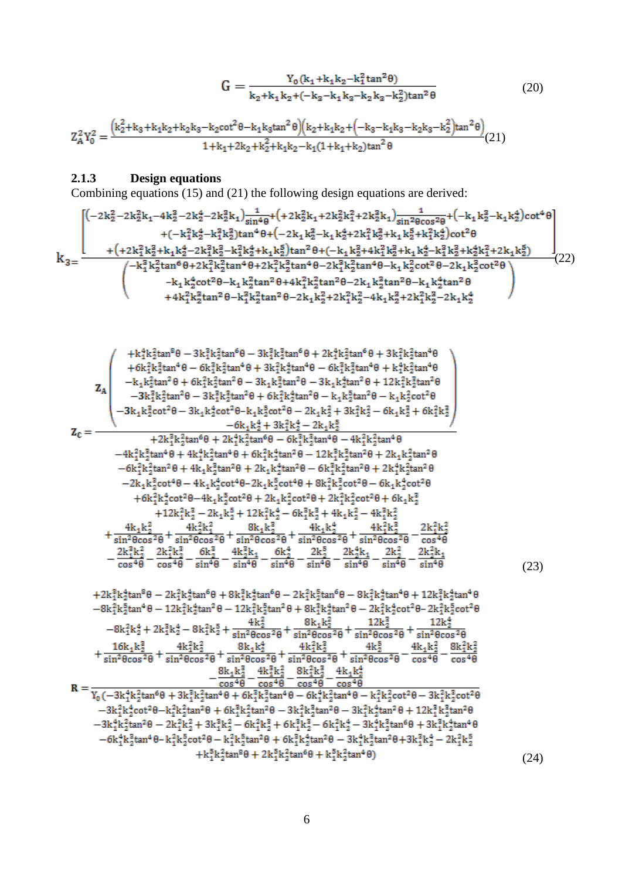$$
G = \frac{Y_0(k_1 + k_1k_2 - k_1^2 \tan^2 \theta)}{k_2 + k_1k_2 + (-k_3 - k_1k_3 - k_2k_3 - k_2^2) \tan^2 \theta}
$$
(20)

$$
Z_{A}^{2}Y_{0}^{2} = \frac{(k_{2}^{2} + k_{3} + k_{1}k_{2} + k_{2}k_{3} - k_{2}cot^{2}\theta - k_{1}k_{3}tan^{2}\theta)(k_{2} + k_{1}k_{2} + (-k_{3} - k_{1}k_{3} - k_{2}k_{3} - k_{2}^{2})tan^{2}\theta)}{1 + k_{1} + 2k_{2} + k_{2}^{2} + k_{1}k_{2} - k_{1}(1 + k_{1} + k_{2})tan^{2}\theta}(21)
$$

#### **2.1.3 Design equations**

Combining equations (15) and (21) the following design equations are derived:

(22)

$$
\begin{pmatrix}\n+k_1^2k_2^2k_1^2\cos^6\theta-3k_1^2k_2^2k_1^2\sin^6\theta+2k_1^2k_2^2k_1^2\sin^6\theta+3k_1^2k_2^2k_1^2\sin^6\theta\\
+6k_1^2k_2^2k_1^2\sin^4\theta-6k_1^2k_2^2k_1^2\sin^4\theta-3k_1^2k_2^2k_1^2\sin^2\theta-3k_1k_2^2k_1^2\sin^2\theta-3k_1k_2^2k_1^2\sin^2\theta+12k_1^2k_2^2\sin^2\theta\\
-k_1k_2^2k_1^2\sin^2\theta-3k_1k_2^2\cot^2\theta-k_1k_2^2\sin^2\theta-k_1k_2^2\sin^2\theta-k_1k_2^2\cos^2\theta\\
-3k_1k_2^2\cot^2\theta-3k_1k_2^2\cot^2\theta-8k_1k_2^2\sin^2\theta-2k_1k_2^2\cos^2\theta-2k_1k_2^2\cos^2\theta\\
-6k_1^2k_2^2k_1^2\sin^6\theta+2k_1^2k_2^2\sin^6\theta-6k_1^2k_2^2\sin^2\theta+2k_1k_2^2\sin^2\theta\\
-6k_1^2k_2^2k_1^2\sin^6\theta+4k_1k_2^2\sin^6\theta-6k_1^2k_2^2\sin^2\theta+2k_1^2k_2^2\sin^2\theta\\
-6k_1^2k_2^2\cos^4\theta+4k_1k_2^2\cos^2\theta+2k_1k_2^2\cos^4\theta-4k_1^2k_2^2\cos^4\theta-4k_1^2k_2^2\cos^2\theta\\
+6k_1^2k_2^2\cos^2\theta+4k_1k_2^2\cos^2\theta+2k_1k_2^2\cos^2\theta+8k_1^2k_2^2\cos^2\theta+6k_1k_2^2\cos^2\theta\\
+12k_1^2k_2^2\cos^2\theta+2k_1k_2^2\cos^2\theta+2k_1
$$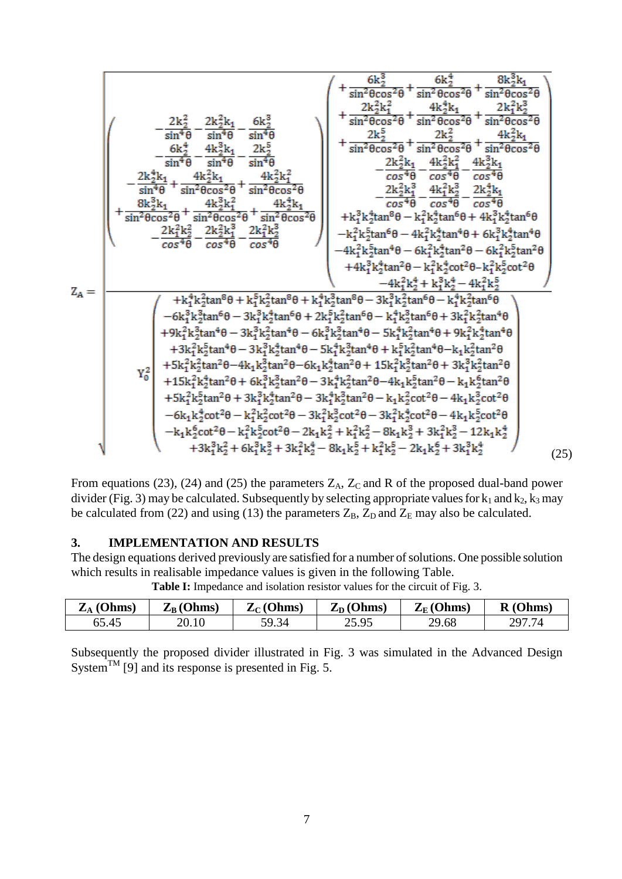$$
Z_A=\frac{\begin{pmatrix} 1+\frac{6k_2^3}{\sin^2\theta\cos^2\theta}+\frac{6k_2^4}{\sin^2\theta\cos^2\theta}+\frac{2k_2^2k_1^2}{\sin^2\theta\cos^2\theta}+\frac{2k_2^2k_1^2}{\sin^2\theta\cos^2\theta}+\frac{2k_2^2k_1^2}{\sin^2\theta\cos^2\theta}+\frac{2k_2^2k_1^2}{\sin^2\theta\cos^2\theta}+\frac{2k_2^2k_1^2}{\sin^2\theta\cos^2\theta}+\frac{2k_2^2k_1^2}{\sin^2\theta\cos^2\theta}+\frac{2k_2^2k_1^2}{\sin^2\theta\cos^2\theta}+\frac{2k_2^2k_1^2}{\sin^2\theta\cos^2\theta}+\frac{2k_2^2k_1^2}{\sin^2\theta\cos^2\theta}+\frac{2k_2^2k_1^2}{\sin^2\theta\cos^2\theta}+\frac{4k_2^2k_1^2}{\sin^2\theta\cos^2\theta}+\frac{2k_2^2k_1^2}{\sin^2\theta\cos^2\theta}+\frac{4k_2^2k_1^2}{\cos^2\theta\cos^2\theta}+\frac{2k_2^2k_1^2}{\cos^2\theta\cos^2\theta}+\frac{4k_2^2k_1^2}{\cos^2\theta\cos^2\theta}+\frac{2k_2^2k_1^2}{\cos^2\theta\cos^2\theta}+\frac{2k_2^2k_1^2}{\cos^2\theta\cos^2\theta}+\frac{2k_2^2k_1^2}{\cos^2\theta\cos^2\theta}+\frac{2k_2^2k_1^2}{\cos^2\theta\cos^2\theta}+\frac{2k_2^2k_1^2}{\cos^2\theta\cos^2\theta}+\frac{2k_2^2k_1^2}{\cos^2\theta\cos^2\theta}+\frac{2k_2^2k_1^2}{\cos^2\theta\cos^2\theta}+\frac{2k_2^2k_1^2}{\cos^2\theta\cos^2\theta}+\frac{2k_2^2k_1^2}{\cos^2\theta\cos^2\theta}+\frac{2k_2^2k_1^2}{\cos^2\theta\cos^2\theta}+\
$$

From equations (23), (24) and (25) the parameters  $Z_A$ ,  $Z_C$  and R of the proposed dual-band power divider (Fig. 3) may be calculated. Subsequently by selecting appropriate values for  $k_1$  and  $k_2$ ,  $k_3$  may be calculated from (22) and using (13) the parameters  $Z_B$ ,  $Z_D$  and  $Z_E$  may also be calculated.

## **3. IMPLEMENTATION AND RESULTS**

The design equations derived previously are satisfied for a number of solutions. One possible solution which results in realisable impedance values is given in the following Table.

| $\mathbf{Z}_{\text{A}}$ (Ohms) | $Z_{B}$ (Ohms) | $Z_C$ (Ohms) | $Z_D$ (Ohms) | $Z_{E}$ (Ohms) | R(Ohms) |
|--------------------------------|----------------|--------------|--------------|----------------|---------|
| 65.45                          | 20.10          | 59.34        | 25.95        | 29.68          | 297.74  |

**Table I:** Impedance and isolation resistor values for the circuit of Fig. 3.

Subsequently the proposed divider illustrated in Fig. 3 was simulated in the Advanced Design System<sup>TM</sup> [9] and its response is presented in Fig. 5.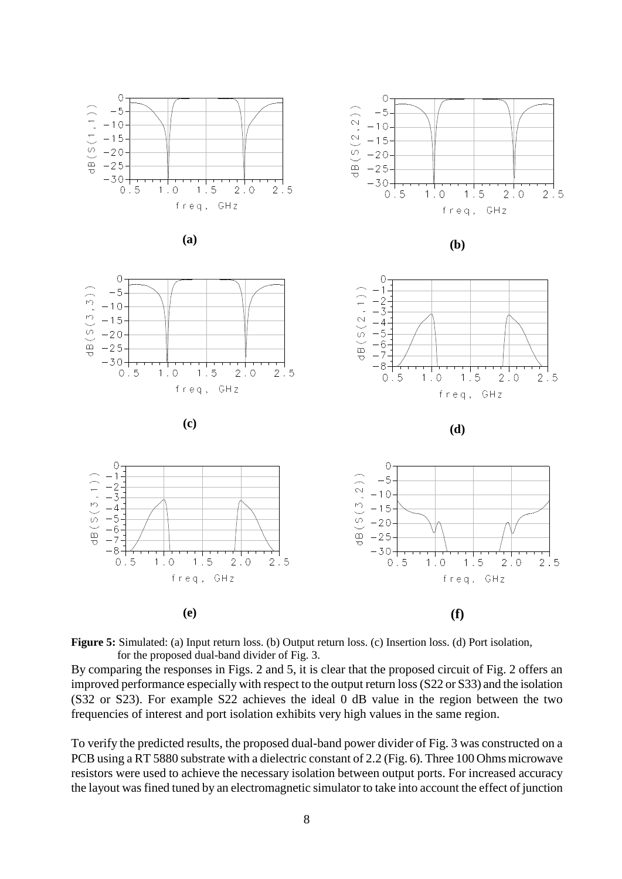

Figure 5: Simulated: (a) Input return loss. (b) Output return loss. (c) Insertion loss. (d) Port isolation, for the proposed dual-band divider of Fig. 3.

By comparing the responses in Figs. 2 and 5, it is clear that the proposed circuit of Fig. 2 offers an improved performance especially with respect to the output return loss (S22 or S33) and the isolation (S32 or S23). For example S22 achieves the ideal 0 dB value in the region between the two frequencies of interest and port isolation exhibits very high values in the same region.

To verify the predicted results, the proposed dual-band power divider of Fig. 3 was constructed on a PCB using a RT 5880 substrate with a dielectric constant of 2.2 (Fig. 6). Three 100 Ohms microwave resistors were used to achieve the necessary isolation between output ports. For increased accuracy the layout was fined tuned by an electromagnetic simulator to take into account the effect of junction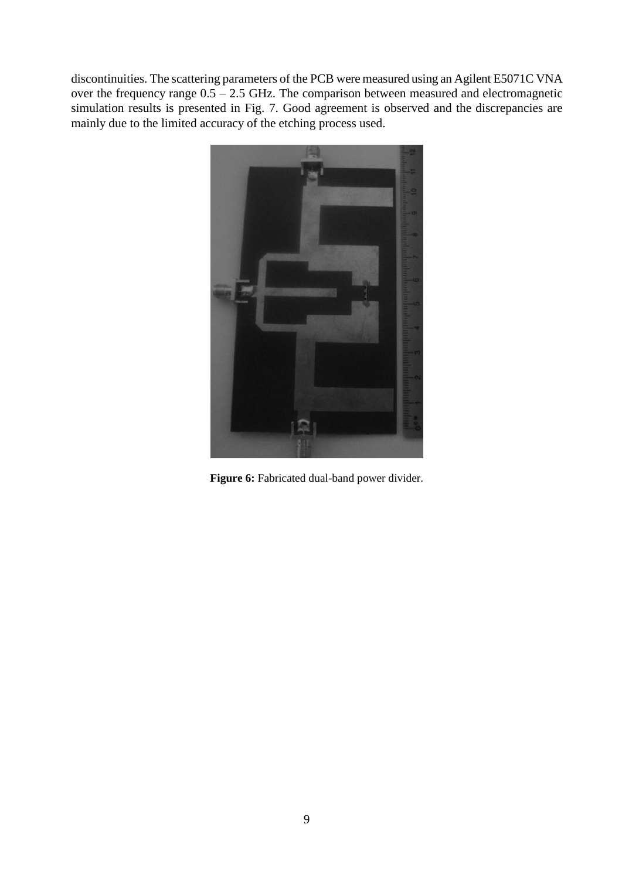discontinuities. The scattering parameters of the PCB were measured using an Agilent [E5071C](http://www.home.agilent.com/agilent/product.jspx?nid=-536902639.350794.00&cc=US&lc=eng) VNA over the frequency range  $0.5 - 2.5$  GHz. The comparison between measured and electromagnetic simulation results is presented in Fig. 7. Good agreement is observed and the discrepancies are mainly due to the limited accuracy of the etching process used.



Figure 6: Fabricated dual-band power divider.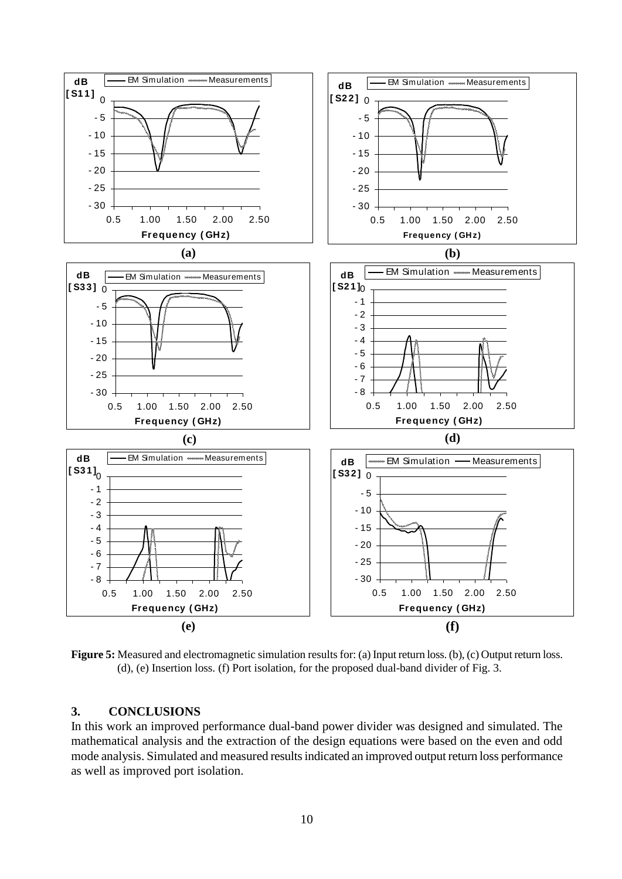

**Figure 5:** Measured and electromagnetic simulation results for: (a) Input return loss. (b), (c) Output return loss. (d), (e) Insertion loss. (f) Port isolation, for the proposed dual-band divider of Fig. 3.

## **3. CONCLUSIONS**

In this work an improved performance dual-band power divider was designed and simulated. The mathematical analysis and the extraction of the design equations were based on the even and odd mode analysis. Simulated and measured results indicated an improved output return loss performance as well as improved port isolation.